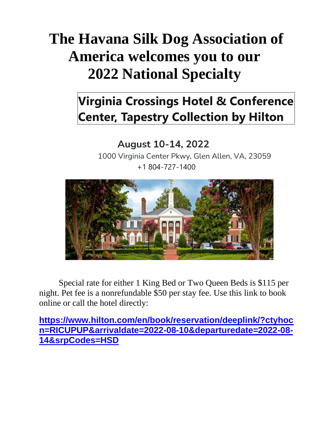# **The Havana Silk Dog Association of America welcomes you to our 2022 National Specialty**

## **Virginia Crossings Hotel & Conference Center, Tapestry Collection by Hilton**

## **August 10-14, 2022**

1000 Virginia Center Pkwy, Glen Allen, VA, 23059 +1 804-727-1400



Special rate for either 1 King Bed or Two Queen Beds is \$115 per night. Pet fee is a nonrefundable \$50 per stay fee. Use this link to book online or call the hotel directly:

**[https://www.hilton.com/en/book/reservation/deeplink/?ctyhoc](https://www.hilton.com/en/book/reservation/deeplink/?ctyhocn=RICUPUP&arrivaldate=2022-08-10&departuredate=2022-08-14&srpCodes=HSD) [n=RICUPUP&arrivaldate=2022-08-10&departuredate=2022-08-](https://www.hilton.com/en/book/reservation/deeplink/?ctyhocn=RICUPUP&arrivaldate=2022-08-10&departuredate=2022-08-14&srpCodes=HSD) [14&srpCodes=HSD](https://www.hilton.com/en/book/reservation/deeplink/?ctyhocn=RICUPUP&arrivaldate=2022-08-10&departuredate=2022-08-14&srpCodes=HSD)**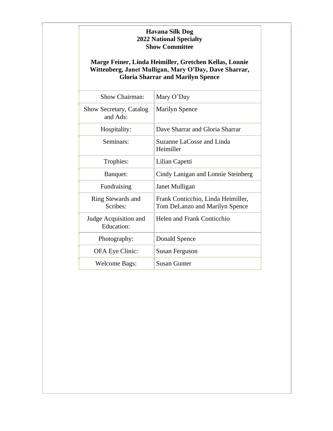#### **Havana Silk Dog 2022 National Specialty Show Committee**

#### **Marge Feiner, Linda Heimiller, Gretchen Kellas, Lonnie Wittenberg, Janet Mulligan, Mary O'Day, Dave Sharrar, Gloria Sharrar and Marilyn Spence**

| Show Chairman:                             | Mary O'Day                                                           |
|--------------------------------------------|----------------------------------------------------------------------|
| Show Secretary, Catalog<br>and Ads:        | <b>Marilyn Spence</b>                                                |
| Hospitality:                               | Dave Sharrar and Gloria Sharrar                                      |
| Seminars:                                  | Suzanne LaCosse and Linda<br>Heimiller                               |
| Trophies:                                  | Lilian Capetti                                                       |
| Banquet:                                   | Cindy Lanigan and Lonnie Steinberg                                   |
| Fundraising                                | Janet Mulligan                                                       |
| Ring Stewards and<br>Scribes:              | Frank Conticchio, Linda Heimiller,<br>Tom DeLanzo and Marilyn Spence |
| Judge Acquisition and<br><b>Education:</b> | Helen and Frank Conticchio                                           |
| Photography:                               | Donald Spence                                                        |
| OFA Eye Clinic:                            | Susan Ferguson                                                       |
| <b>Welcome Bags:</b>                       | <b>Susan Gunter</b>                                                  |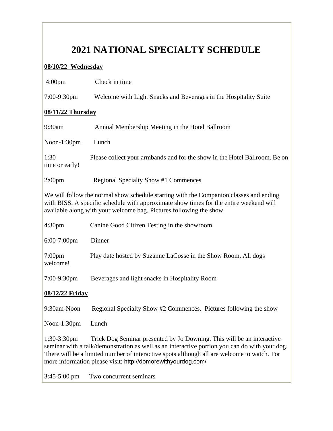### **2021 NATIONAL SPECIALTY SCHEDULE**

#### **08/10/22 Wednesday**

| 4:00 <sub>pm</sub>                                                                                                                                                                                                                                                                                                                                      | Check in time                                                              |  |
|---------------------------------------------------------------------------------------------------------------------------------------------------------------------------------------------------------------------------------------------------------------------------------------------------------------------------------------------------------|----------------------------------------------------------------------------|--|
| 7:00-9:30pm                                                                                                                                                                                                                                                                                                                                             | Welcome with Light Snacks and Beverages in the Hospitality Suite           |  |
| 08/11/22 Thursday                                                                                                                                                                                                                                                                                                                                       |                                                                            |  |
| 9:30am                                                                                                                                                                                                                                                                                                                                                  | Annual Membership Meeting in the Hotel Ballroom                            |  |
| Noon-1:30pm                                                                                                                                                                                                                                                                                                                                             | Lunch                                                                      |  |
| 1:30<br>time or early!                                                                                                                                                                                                                                                                                                                                  | Please collect your armbands and for the show in the Hotel Ballroom. Be on |  |
| 2:00 <sub>pm</sub>                                                                                                                                                                                                                                                                                                                                      | <b>Regional Specialty Show #1 Commences</b>                                |  |
| We will follow the normal show schedule starting with the Companion classes and ending<br>with BISS. A specific schedule with approximate show times for the entire weekend will<br>available along with your welcome bag. Pictures following the show.                                                                                                 |                                                                            |  |
| 4:30 <sub>pm</sub>                                                                                                                                                                                                                                                                                                                                      | Canine Good Citizen Testing in the showroom                                |  |
| 6:00-7:00pm                                                                                                                                                                                                                                                                                                                                             | Dinner                                                                     |  |
| 7:00pm<br>welcome!                                                                                                                                                                                                                                                                                                                                      | Play date hosted by Suzanne LaCosse in the Show Room. All dogs             |  |
| 7:00-9:30pm                                                                                                                                                                                                                                                                                                                                             | Beverages and light snacks in Hospitality Room                             |  |
| 08/12/22 Friday                                                                                                                                                                                                                                                                                                                                         |                                                                            |  |
| 9:30am-Noon                                                                                                                                                                                                                                                                                                                                             | Regional Specialty Show #2 Commences. Pictures following the show          |  |
| Noon-1:30pm                                                                                                                                                                                                                                                                                                                                             | Lunch                                                                      |  |
| $1:30-3:30$ pm<br>Trick Dog Seminar presented by Jo Downing. This will be an interactive<br>seminar with a talk/demonstration as well as an interactive portion you can do with your dog.<br>There will be a limited number of interactive spots although all are welcome to watch. For<br>more information please visit: http://domorewithyourdog.com/ |                                                                            |  |
| $3:45-5:00 \text{ pm}$                                                                                                                                                                                                                                                                                                                                  | Two concurrent seminars                                                    |  |